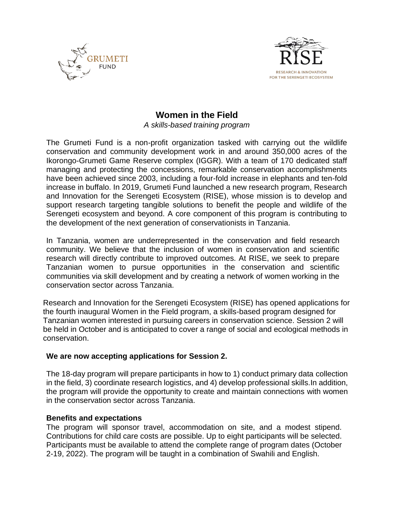



# **Women in the Field**

*A skills-based training program*

The Grumeti Fund is a non-profit organization tasked with carrying out the wildlife conservation and community development work in and around 350,000 acres of the Ikorongo-Grumeti Game Reserve complex (IGGR). With a team of 170 dedicated staff managing and protecting the concessions, remarkable conservation accomplishments have been achieved since 2003, including a four-fold increase in elephants and ten-fold increase in buffalo. In 2019, Grumeti Fund launched a new research program, Research and Innovation for the Serengeti Ecosystem (RISE), whose mission is to develop and support research targeting tangible solutions to benefit the people and wildlife of the Serengeti ecosystem and beyond. A core component of this program is contributing to the development of the next generation of conservationists in Tanzania.

In Tanzania, women are underrepresented in the conservation and field research community. We believe that the inclusion of women in conservation and scientific research will directly contribute to improved outcomes. At RISE, we seek to prepare Tanzanian women to pursue opportunities in the conservation and scientific communities via skill development and by creating a network of women working in the conservation sector across Tanzania.

Research and Innovation for the Serengeti Ecosystem (RISE) has opened applications for the fourth inaugural Women in the Field program, a skills-based program designed for Tanzanian women interested in pursuing careers in conservation science. Session 2 will be held in October and is anticipated to cover a range of social and ecological methods in conservation.

#### **We are now accepting applications for Session 2.**

The 18-day program will prepare participants in how to 1) conduct primary data collection in the field, 3) coordinate research logistics, and 4) develop professional skills.In addition, the program will provide the opportunity to create and maintain connections with women in the conservation sector across Tanzania.

# **Benefits and expectations**

The program will sponsor travel, accommodation on site, and a modest stipend. Contributions for child care costs are possible. Up to eight participants will be selected. Participants must be available to attend the complete range of program dates (October 2-19, 2022). The program will be taught in a combination of Swahili and English.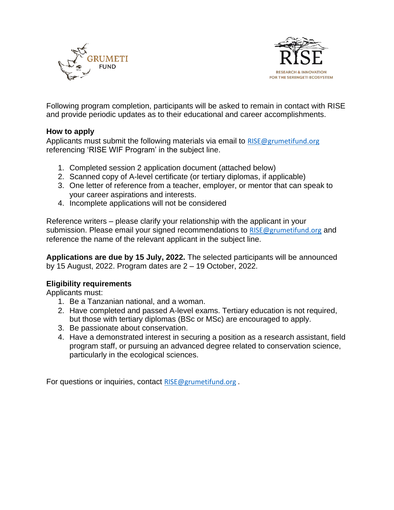



Following program completion, participants will be asked to remain in contact with RISE and provide periodic updates as to their educational and career accomplishments.

#### **How to apply**

Applicants must submit the following materials via email to [RISE@grumetifund.org](mailto:RISE@grumetifund.org) referencing 'RISE WIF Program' in the subject line.

- 1. Completed session 2 application document (attached below)
- 2. Scanned copy of A-level certificate (or tertiary diplomas, if applicable)
- 3. One letter of reference from a teacher, employer, or mentor that can speak to your career aspirations and interests.
- 4. Incomplete applications will not be considered

Reference writers – please clarify your relationship with the applicant in your submission. Please email your signed recommendations to [RISE@grumetifund.org](mailto:RISE@grumetifund.org) and reference the name of the relevant applicant in the subject line.

**Applications are due by 15 July, 2022.** The selected participants will be announced by 15 August, 2022. Program dates are 2 – 19 October, 2022.

# **Eligibility requirements**

Applicants must:

- 1. Be a Tanzanian national, and a woman.
- 2. Have completed and passed A-level exams. Tertiary education is not required, but those with tertiary diplomas (BSc or MSc) are encouraged to apply.
- 3. Be passionate about conservation.
- 4. Have a demonstrated interest in securing a position as a research assistant, field program staff, or pursuing an advanced degree related to conservation science, particularly in the ecological sciences.

For questions or inquiries, contact [RISE@grumetifund.org](mailto:RISE@grumetifund.org).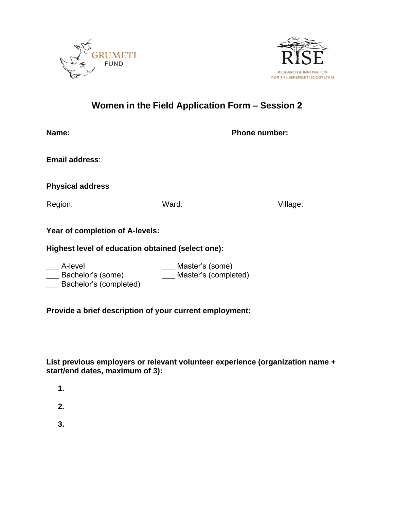



# **Women in the Field Application Form – Session 2**

| Name:                                                  |                                         | <b>Phone number:</b> |
|--------------------------------------------------------|-----------------------------------------|----------------------|
| <b>Email address:</b>                                  |                                         |                      |
| <b>Physical address</b>                                |                                         |                      |
| Region:                                                | Ward:                                   | Village:             |
| <b>Year of completion of A-levels:</b>                 |                                         |                      |
| Highest level of education obtained (select one):      |                                         |                      |
| A-level<br>Bachelor's (some)<br>Bachelor's (completed) | Master's (some)<br>Master's (completed) |                      |

**Provide a brief description of your current employment:**

# **List previous employers or relevant volunteer experience (organization name + start/end dates, maximum of 3):**

- **1.**
- **2.**
- **3.**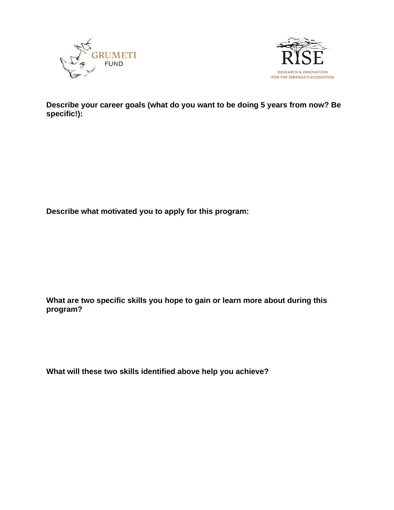



**Describe your career goals (what do you want to be doing 5 years from now? Be specific!):**

**Describe what motivated you to apply for this program:**

**What are two specific skills you hope to gain or learn more about during this program?**

**What will these two skills identified above help you achieve?**